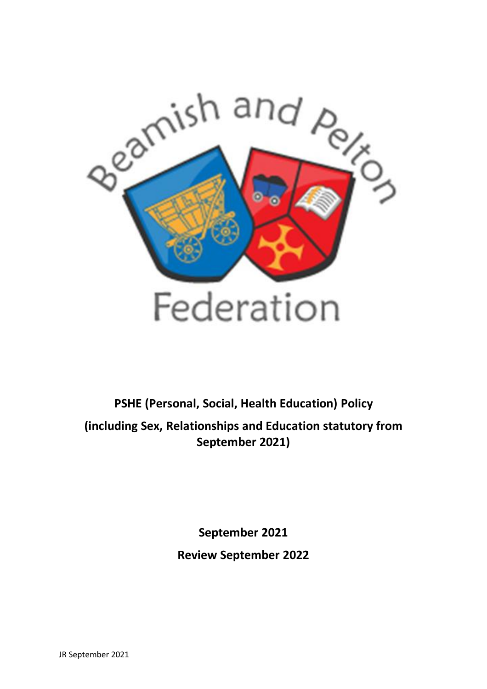

**PSHE (Personal, Social, Health Education) Policy (including Sex, Relationships and Education statutory from September 2021)**

> **September 2021 Review September 2022**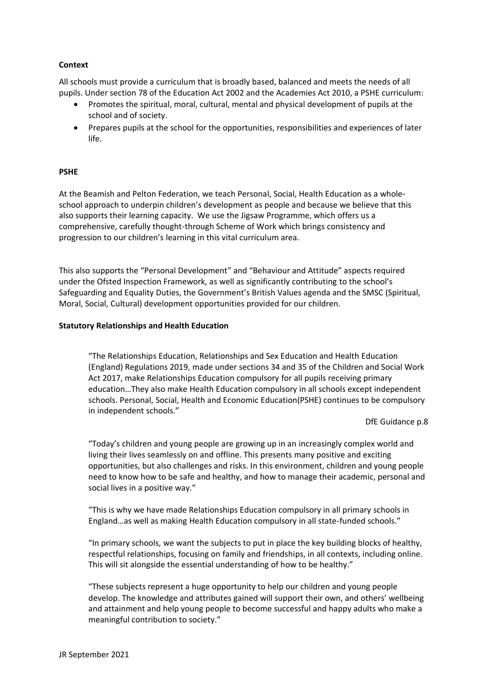## **Context**

All schools must provide a curriculum that is broadly based, balanced and meets the needs of all pupils. Under section 78 of the Education Act 2002 and the Academies Act 2010, a PSHE curriculum:

- Promotes the spiritual, moral, cultural, mental and physical development of pupils at the school and of society.
- Prepares pupils at the school for the opportunities, responsibilities and experiences of later life.

## **PSHE**

At the Beamish and Pelton Federation, we teach Personal, Social, Health Education as a wholeschool approach to underpin children's development as people and because we believe that this also supports their learning capacity. We use the Jigsaw Programme, which offers us a comprehensive, carefully thought-through Scheme of Work which brings consistency and progression to our children's learning in this vital curriculum area.

This also supports the "Personal Development" and "Behaviour and Attitude" aspects required under the Ofsted Inspection Framework, as well as significantly contributing to the school's Safeguarding and Equality Duties, the Government's British Values agenda and the SMSC (Spiritual, Moral, Social, Cultural) development opportunities provided for our children.

#### **Statutory Relationships and Health Education**

"The Relationships Education, Relationships and Sex Education and Health Education (England) Regulations 2019, made under sections 34 and 35 of the Children and Social Work Act 2017, make Relationships Education compulsory for all pupils receiving primary education…They also make Health Education compulsory in all schools except independent schools. Personal, Social, Health and Economic Education(PSHE) continues to be compulsory in independent schools."

DfE Guidance p.8

"Today's children and young people are growing up in an increasingly complex world and living their lives seamlessly on and offline. This presents many positive and exciting opportunities, but also challenges and risks. In this environment, children and young people need to know how to be safe and healthy, and how to manage their academic, personal and social lives in a positive way."

"This is why we have made Relationships Education compulsory in all primary schools in England…as well as making Health Education compulsory in all state-funded schools."

"In primary schools, we want the subjects to put in place the key building blocks of healthy, respectful relationships, focusing on family and friendships, in all contexts, including online. This will sit alongside the essential understanding of how to be healthy."

"These subjects represent a huge opportunity to help our children and young people develop. The knowledge and attributes gained will support their own, and others' wellbeing and attainment and help young people to become successful and happy adults who make a meaningful contribution to society."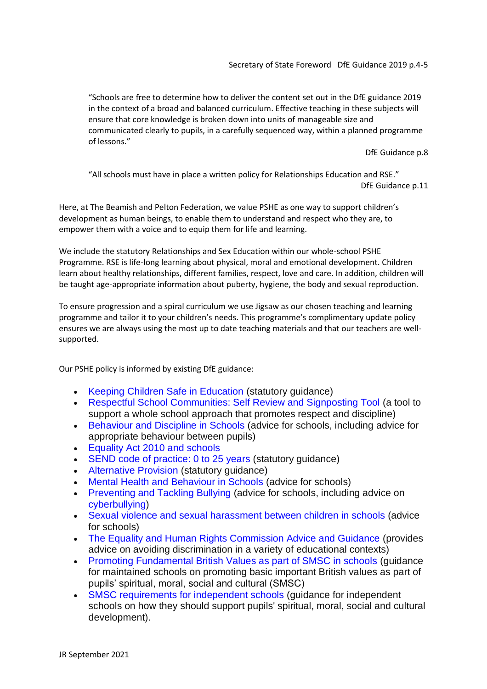"Schools are free to determine how to deliver the content set out in the DfE guidance 2019 in the context of a broad and balanced curriculum. Effective teaching in these subjects will ensure that core knowledge is broken down into units of manageable size and communicated clearly to pupils, in a carefully sequenced way, within a planned programme of lessons."

DfE Guidance p.8

"All schools must have in place a written policy for Relationships Education and RSE." DfE Guidance p.11

Here, at The Beamish and Pelton Federation, we value PSHE as one way to support children's development as human beings, to enable them to understand and respect who they are, to empower them with a voice and to equip them for life and learning.

We include the statutory Relationships and Sex Education within our whole-school PSHE Programme. RSE is life-long learning about physical, moral and emotional development. Children learn about healthy relationships, different families, respect, love and care. In addition, children will be taught age-appropriate information about puberty, hygiene, the body and sexual reproduction.

To ensure progression and a spiral curriculum we use Jigsaw as our chosen teaching and learning programme and tailor it to your children's needs. This programme's complimentary update policy ensures we are always using the most up to date teaching materials and that our teachers are wellsupported.

Our PSHE policy is informed by existing DfE guidance:

- Keeping Children Safe in Education (statutory guidance)
- Respectful School Communities: Self Review and Signposting Tool (a tool to support a whole school approach that promotes respect and discipline)
- Behaviour and Discipline in Schools (advice for schools, including advice for appropriate behaviour between pupils)
- Equality Act 2010 and schools
- SEND code of practice: 0 to 25 years (statutory guidance)
- Alternative Provision (statutory quidance)
- Mental Health and Behaviour in Schools (advice for schools)
- Preventing and Tackling Bullying (advice for schools, including advice on cyberbullying)
- Sexual violence and sexual harassment between children in schools (advice for schools)
- The Equality and Human Rights Commission Advice and Guidance (provides advice on avoiding discrimination in a variety of educational contexts)
- Promoting Fundamental British Values as part of SMSC in schools (guidance for maintained schools on promoting basic important British values as part of pupils' spiritual, moral, social and cultural (SMSC)
- SMSC requirements for independent schools (guidance for independent schools on how they should support pupils' spiritual, moral, social and cultural development).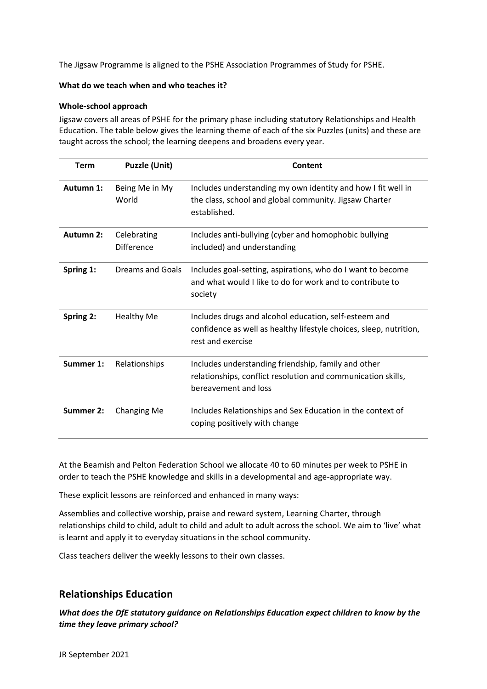The Jigsaw Programme is aligned to the PSHE Association Programmes of Study for PSHE.

#### **What do we teach when and who teaches it?**

### **Whole-school approach**

Jigsaw covers all areas of PSHE for the primary phase including statutory Relationships and Health Education. The table below gives the learning theme of each of the six Puzzles (units) and these are taught across the school; the learning deepens and broadens every year.

| <b>Term</b>      | <b>Puzzle (Unit)</b>             | Content                                                                                                                                          |
|------------------|----------------------------------|--------------------------------------------------------------------------------------------------------------------------------------------------|
| Autumn 1:        | Being Me in My<br>World          | Includes understanding my own identity and how I fit well in<br>the class, school and global community. Jigsaw Charter<br>established.           |
| <b>Autumn 2:</b> | Celebrating<br><b>Difference</b> | Includes anti-bullying (cyber and homophobic bullying<br>included) and understanding                                                             |
| Spring 1:        | Dreams and Goals                 | Includes goal-setting, aspirations, who do I want to become<br>and what would I like to do for work and to contribute to<br>society              |
| Spring 2:        | <b>Healthy Me</b>                | Includes drugs and alcohol education, self-esteem and<br>confidence as well as healthy lifestyle choices, sleep, nutrition,<br>rest and exercise |
| Summer 1:        | Relationships                    | Includes understanding friendship, family and other<br>relationships, conflict resolution and communication skills,<br>bereavement and loss      |
| Summer 2:        | <b>Changing Me</b>               | Includes Relationships and Sex Education in the context of<br>coping positively with change                                                      |

At the Beamish and Pelton Federation School we allocate 40 to 60 minutes per week to PSHE in order to teach the PSHE knowledge and skills in a developmental and age-appropriate way.

These explicit lessons are reinforced and enhanced in many ways:

Assemblies and collective worship, praise and reward system, Learning Charter, through relationships child to child, adult to child and adult to adult across the school. We aim to 'live' what is learnt and apply it to everyday situations in the school community.

Class teachers deliver the weekly lessons to their own classes.

# **Relationships Education**

*What does the DfE statutory guidance on Relationships Education expect children to know by the time they leave primary school?*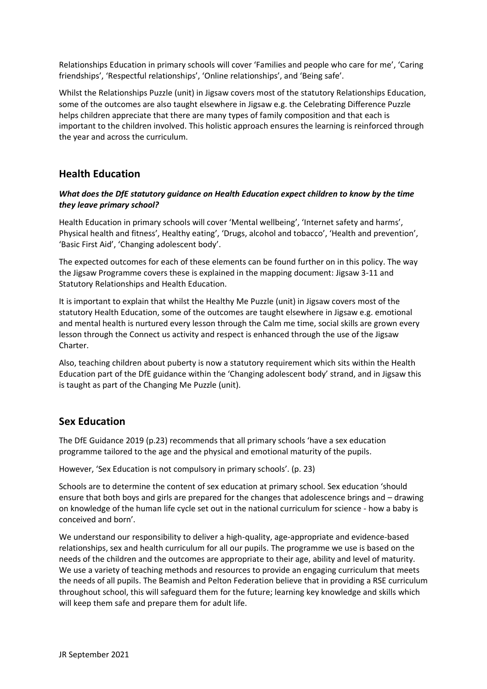Relationships Education in primary schools will cover 'Families and people who care for me', 'Caring friendships', 'Respectful relationships', 'Online relationships', and 'Being safe'.

Whilst the Relationships Puzzle (unit) in Jigsaw covers most of the statutory Relationships Education, some of the outcomes are also taught elsewhere in Jigsaw e.g. the Celebrating Difference Puzzle helps children appreciate that there are many types of family composition and that each is important to the children involved. This holistic approach ensures the learning is reinforced through the year and across the curriculum.

# **Health Education**

## *What does the DfE statutory guidance on Health Education expect children to know by the time they leave primary school?*

Health Education in primary schools will cover 'Mental wellbeing', 'Internet safety and harms', Physical health and fitness', Healthy eating', 'Drugs, alcohol and tobacco', 'Health and prevention', 'Basic First Aid', 'Changing adolescent body'.

The expected outcomes for each of these elements can be found further on in this policy. The way the Jigsaw Programme covers these is explained in the mapping document: Jigsaw 3-11 and Statutory Relationships and Health Education.

It is important to explain that whilst the Healthy Me Puzzle (unit) in Jigsaw covers most of the statutory Health Education, some of the outcomes are taught elsewhere in Jigsaw e.g. emotional and mental health is nurtured every lesson through the Calm me time, social skills are grown every lesson through the Connect us activity and respect is enhanced through the use of the Jigsaw Charter.

Also, teaching children about puberty is now a statutory requirement which sits within the Health Education part of the DfE guidance within the 'Changing adolescent body' strand, and in Jigsaw this is taught as part of the Changing Me Puzzle (unit).

# **Sex Education**

The DfE Guidance 2019 (p.23) recommends that all primary schools 'have a sex education programme tailored to the age and the physical and emotional maturity of the pupils.

However, 'Sex Education is not compulsory in primary schools'. (p. 23)

Schools are to determine the content of sex education at primary school. Sex education 'should ensure that both boys and girls are prepared for the changes that adolescence brings and – drawing on knowledge of the human life cycle set out in the national curriculum for science - how a baby is conceived and born'.

We understand our responsibility to deliver a high-quality, age-appropriate and evidence-based relationships, sex and health curriculum for all our pupils. The programme we use is based on the needs of the children and the outcomes are appropriate to their age, ability and level of maturity. We use a variety of teaching methods and resources to provide an engaging curriculum that meets the needs of all pupils. The Beamish and Pelton Federation believe that in providing a RSE curriculum throughout school, this will safeguard them for the future; learning key knowledge and skills which will keep them safe and prepare them for adult life.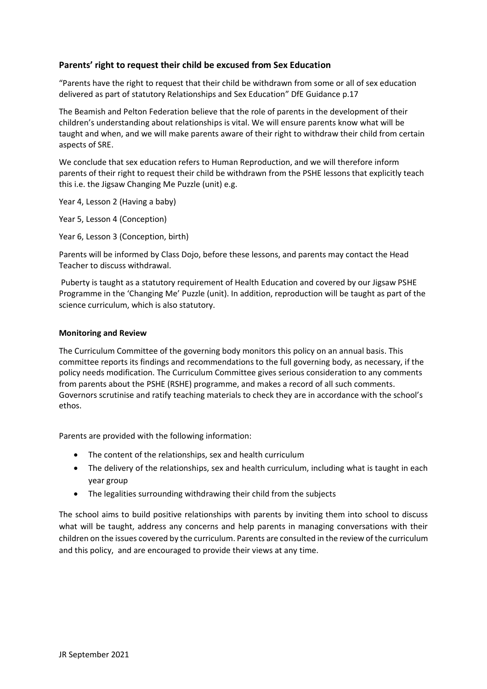## **Parents' right to request their child be excused from Sex Education**

"Parents have the right to request that their child be withdrawn from some or all of sex education delivered as part of statutory Relationships and Sex Education" DfE Guidance p.17

The Beamish and Pelton Federation believe that the role of parents in the development of their children's understanding about relationships is vital. We will ensure parents know what will be taught and when, and we will make parents aware of their right to withdraw their child from certain aspects of SRE.

We conclude that sex education refers to Human Reproduction, and we will therefore inform parents of their right to request their child be withdrawn from the PSHE lessons that explicitly teach this i.e. the Jigsaw Changing Me Puzzle (unit) e.g.

Year 4, Lesson 2 (Having a baby)

Year 5, Lesson 4 (Conception)

Year 6, Lesson 3 (Conception, birth)

Parents will be informed by Class Dojo, before these lessons, and parents may contact the Head Teacher to discuss withdrawal.

Puberty is taught as a statutory requirement of Health Education and covered by our Jigsaw PSHE Programme in the 'Changing Me' Puzzle (unit). In addition, reproduction will be taught as part of the science curriculum, which is also statutory.

#### **Monitoring and Review**

The Curriculum Committee of the governing body monitors this policy on an annual basis. This committee reports its findings and recommendations to the full governing body, as necessary, if the policy needs modification. The Curriculum Committee gives serious consideration to any comments from parents about the PSHE (RSHE) programme, and makes a record of all such comments. Governors scrutinise and ratify teaching materials to check they are in accordance with the school's ethos.

Parents are provided with the following information:

- The content of the relationships, sex and health curriculum
- The delivery of the relationships, sex and health curriculum, including what is taught in each year group
- The legalities surrounding withdrawing their child from the subjects

The school aims to build positive relationships with parents by inviting them into school to discuss what will be taught, address any concerns and help parents in managing conversations with their children on the issues covered by the curriculum. Parents are consulted in the review of the curriculum and this policy, and are encouraged to provide their views at any time.